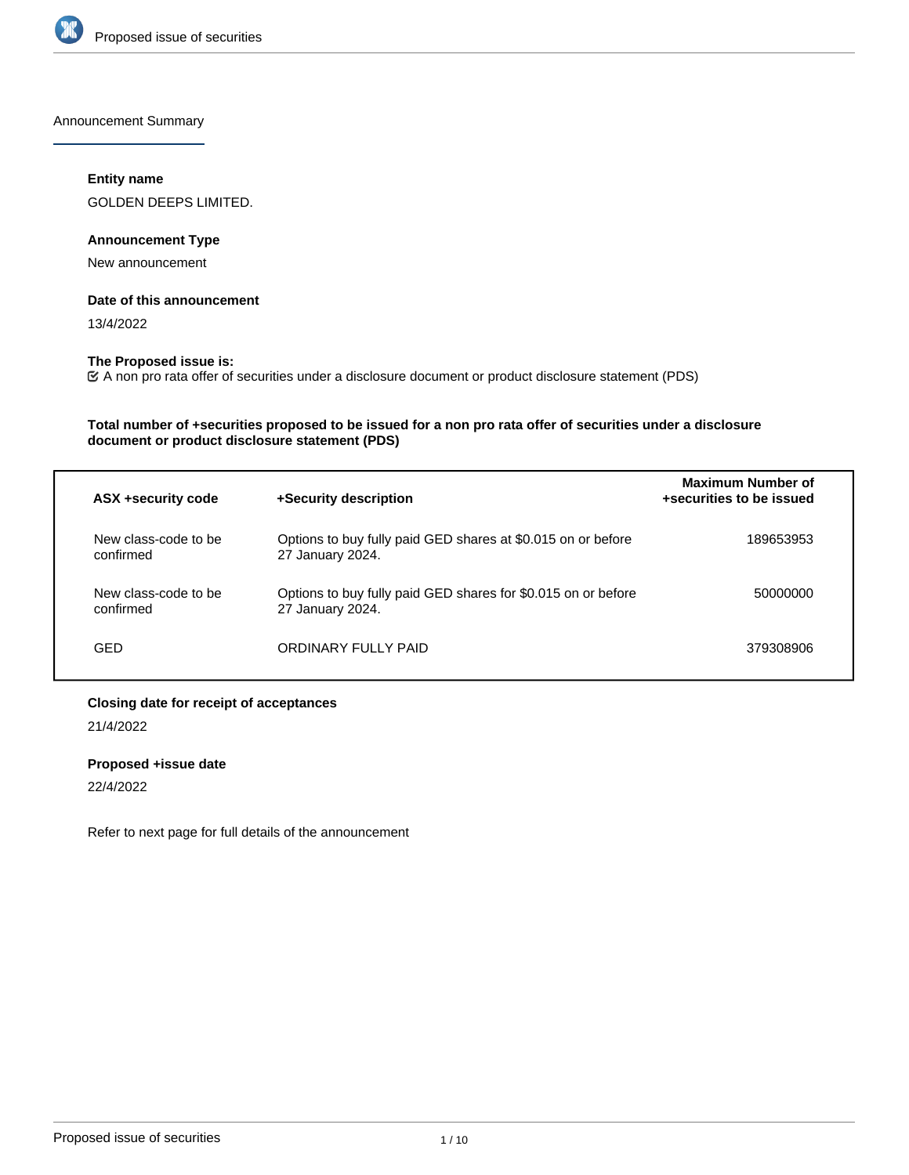

Announcement Summary

#### **Entity name**

GOLDEN DEEPS LIMITED.

# **Announcement Type**

New announcement

## **Date of this announcement**

13/4/2022

# **The Proposed issue is:**

A non pro rata offer of securities under a disclosure document or product disclosure statement (PDS)

## **Total number of +securities proposed to be issued for a non pro rata offer of securities under a disclosure document or product disclosure statement (PDS)**

| ASX +security code                | +Security description                                                             | <b>Maximum Number of</b><br>+securities to be issued |
|-----------------------------------|-----------------------------------------------------------------------------------|------------------------------------------------------|
| New class-code to be<br>confirmed | Options to buy fully paid GED shares at \$0.015 on or before<br>27 January 2024.  | 189653953                                            |
| New class-code to be<br>confirmed | Options to buy fully paid GED shares for \$0.015 on or before<br>27 January 2024. | 50000000                                             |
| GED                               | ORDINARY FULLY PAID                                                               | 379308906                                            |

## **Closing date for receipt of acceptances**

21/4/2022

## **Proposed +issue date**

22/4/2022

Refer to next page for full details of the announcement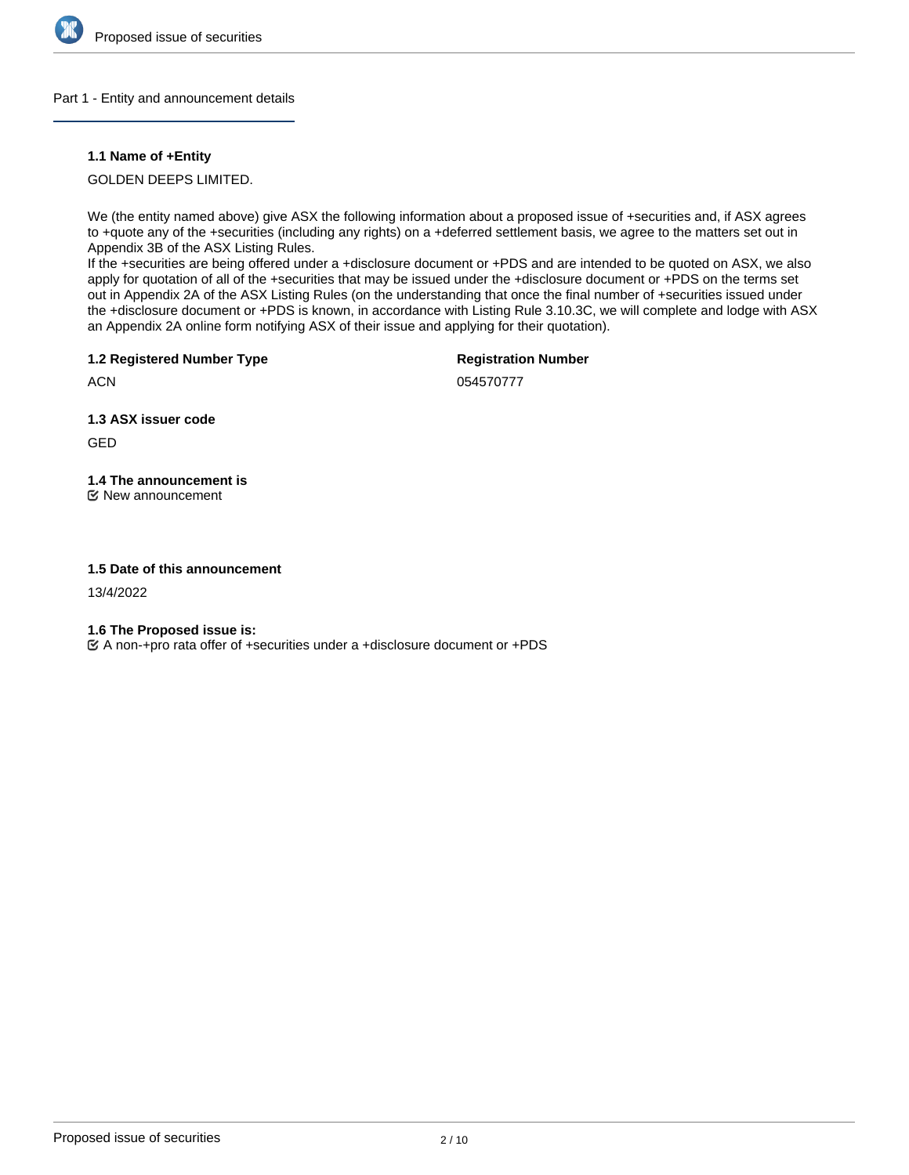

#### Part 1 - Entity and announcement details

## **1.1 Name of +Entity**

GOLDEN DEEPS LIMITED.

We (the entity named above) give ASX the following information about a proposed issue of +securities and, if ASX agrees to +quote any of the +securities (including any rights) on a +deferred settlement basis, we agree to the matters set out in Appendix 3B of the ASX Listing Rules.

If the +securities are being offered under a +disclosure document or +PDS and are intended to be quoted on ASX, we also apply for quotation of all of the +securities that may be issued under the +disclosure document or +PDS on the terms set out in Appendix 2A of the ASX Listing Rules (on the understanding that once the final number of +securities issued under the +disclosure document or +PDS is known, in accordance with Listing Rule 3.10.3C, we will complete and lodge with ASX an Appendix 2A online form notifying ASX of their issue and applying for their quotation).

**1.2 Registered Number Type**

**Registration Number**

**ACN** 

054570777

**1.3 ASX issuer code**

GED

**1.4 The announcement is** New announcement

## **1.5 Date of this announcement**

13/4/2022

**1.6 The Proposed issue is:**

A non-+pro rata offer of +securities under a +disclosure document or +PDS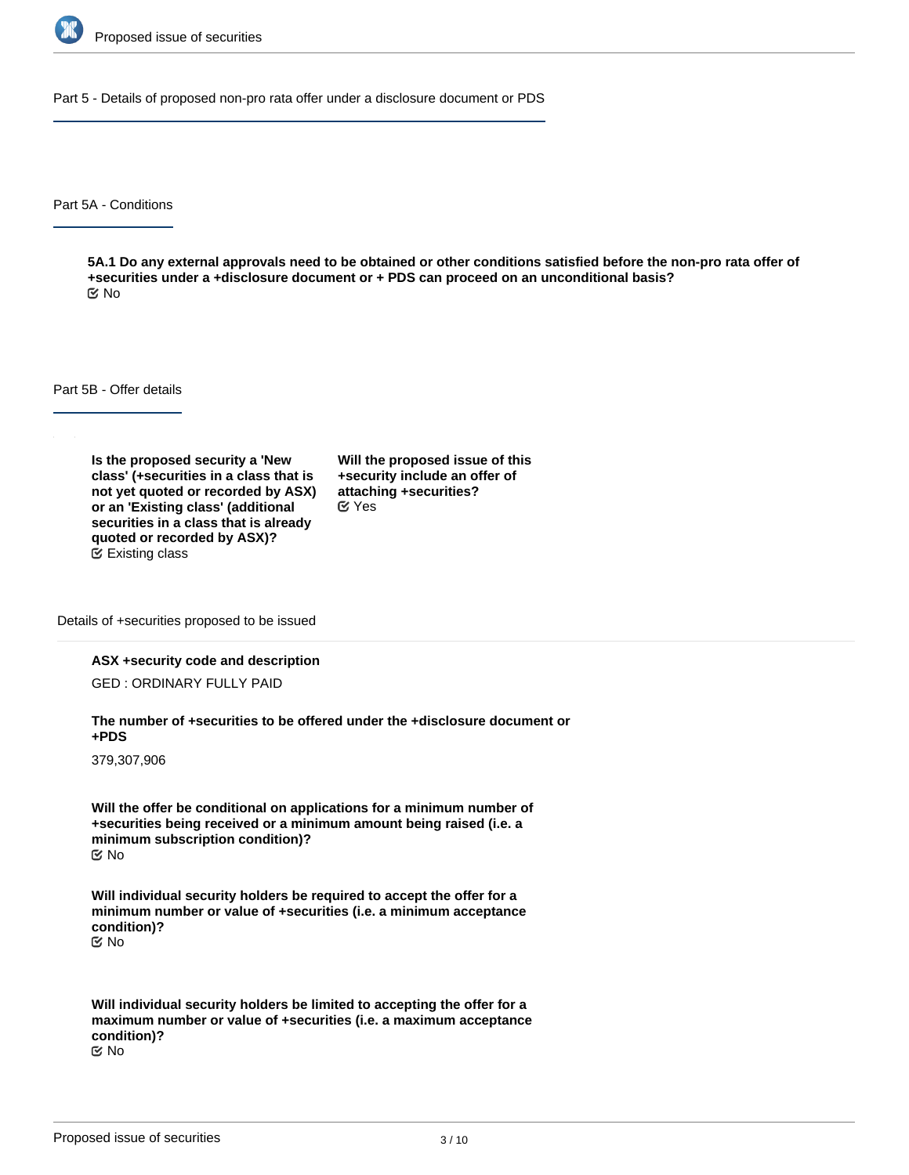

Part 5 - Details of proposed non-pro rata offer under a disclosure document or PDS

Part 5A - Conditions

**5A.1 Do any external approvals need to be obtained or other conditions satisfied before the non-pro rata offer of +securities under a +disclosure document or + PDS can proceed on an unconditional basis?** No

Part 5B - Offer details

**Is the proposed security a 'New class' (+securities in a class that is not yet quoted or recorded by ASX) or an 'Existing class' (additional securities in a class that is already quoted or recorded by ASX)?** Existing class

**Will the proposed issue of this +security include an offer of attaching +securities?** Yes

Details of +securities proposed to be issued

#### **ASX +security code and description**

GED : ORDINARY FULLY PAID

**The number of +securities to be offered under the +disclosure document or +PDS**

379,307,906

**Will the offer be conditional on applications for a minimum number of +securities being received or a minimum amount being raised (i.e. a minimum subscription condition)?** No

**Will individual security holders be required to accept the offer for a minimum number or value of +securities (i.e. a minimum acceptance condition)?** No

**Will individual security holders be limited to accepting the offer for a maximum number or value of +securities (i.e. a maximum acceptance condition)?** No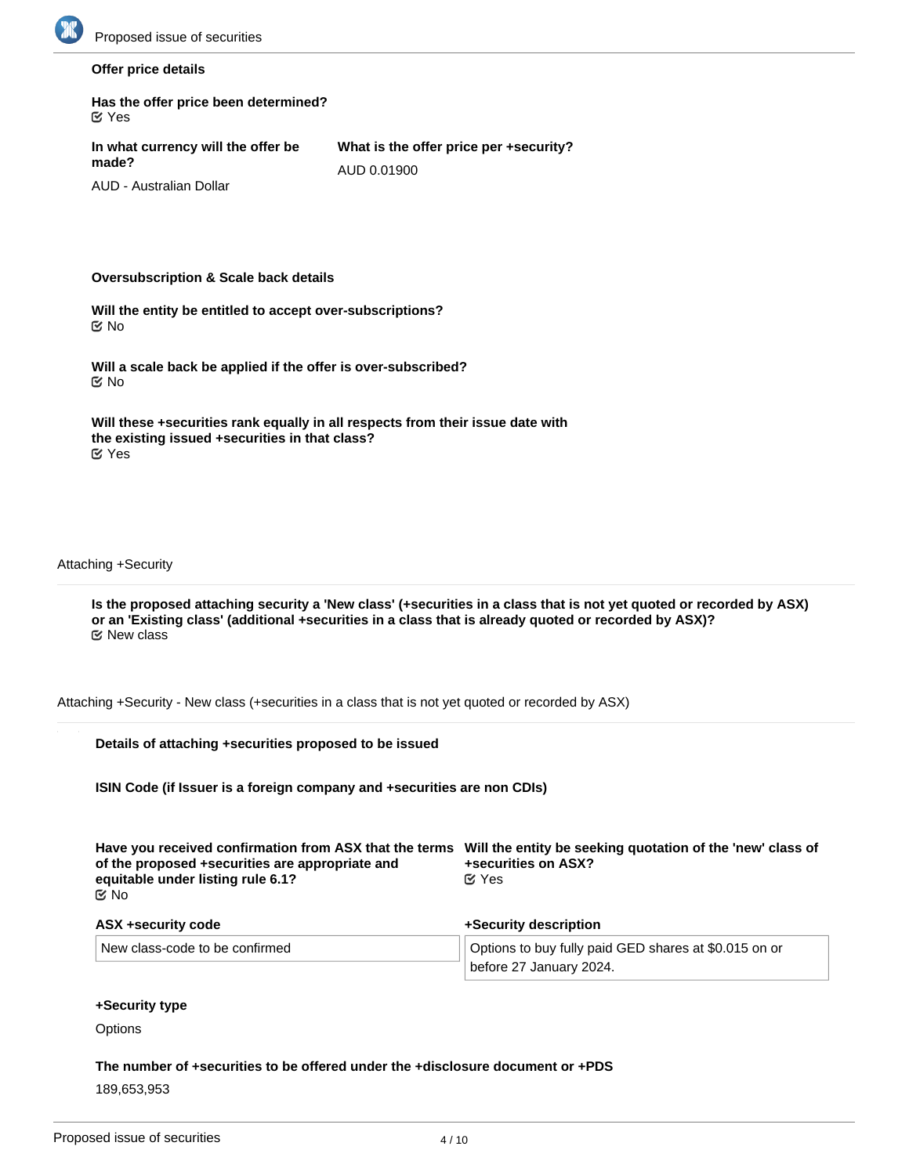

#### **Offer price details**

| $\alpha$ Yes                                |                                        |  |
|---------------------------------------------|----------------------------------------|--|
| In what currency will the offer be<br>made? | What is the offer price per +security? |  |
|                                             | AUD 0.01900                            |  |

AUD - Australian Dollar

#### **Oversubscription & Scale back details**

**Has the offer price been determined?**

**Will the entity be entitled to accept over-subscriptions?** No

**Will a scale back be applied if the offer is over-subscribed?** No

| Will these +securities rank equally in all respects from their issue date with |  |
|--------------------------------------------------------------------------------|--|
| the existing issued +securities in that class?                                 |  |
| ビ Yes                                                                          |  |

Attaching +Security

**Is the proposed attaching security a 'New class' (+securities in a class that is not yet quoted or recorded by ASX) or an 'Existing class' (additional +securities in a class that is already quoted or recorded by ASX)?** New class

Attaching +Security - New class (+securities in a class that is not yet quoted or recorded by ASX)

| Details of attaching +securities proposed to be issued                                                                                                 |                                                                                                   |
|--------------------------------------------------------------------------------------------------------------------------------------------------------|---------------------------------------------------------------------------------------------------|
| ISIN Code (if Issuer is a foreign company and +securities are non CDIs)                                                                                |                                                                                                   |
| Have you received confirmation from ASX that the terms<br>of the proposed +securities are appropriate and<br>equitable under listing rule 6.1?<br>ඦ No | Will the entity be seeking quotation of the 'new' class of<br>+securities on ASX?<br>$\alpha$ Yes |
| ASX +security code                                                                                                                                     | +Security description                                                                             |
| New class-code to be confirmed                                                                                                                         | Options to buy fully paid GED shares at \$0.015 on or<br>before 27 January 2024.                  |

#### **+Security type**

**Options** 

**The number of +securities to be offered under the +disclosure document or +PDS** 189,653,953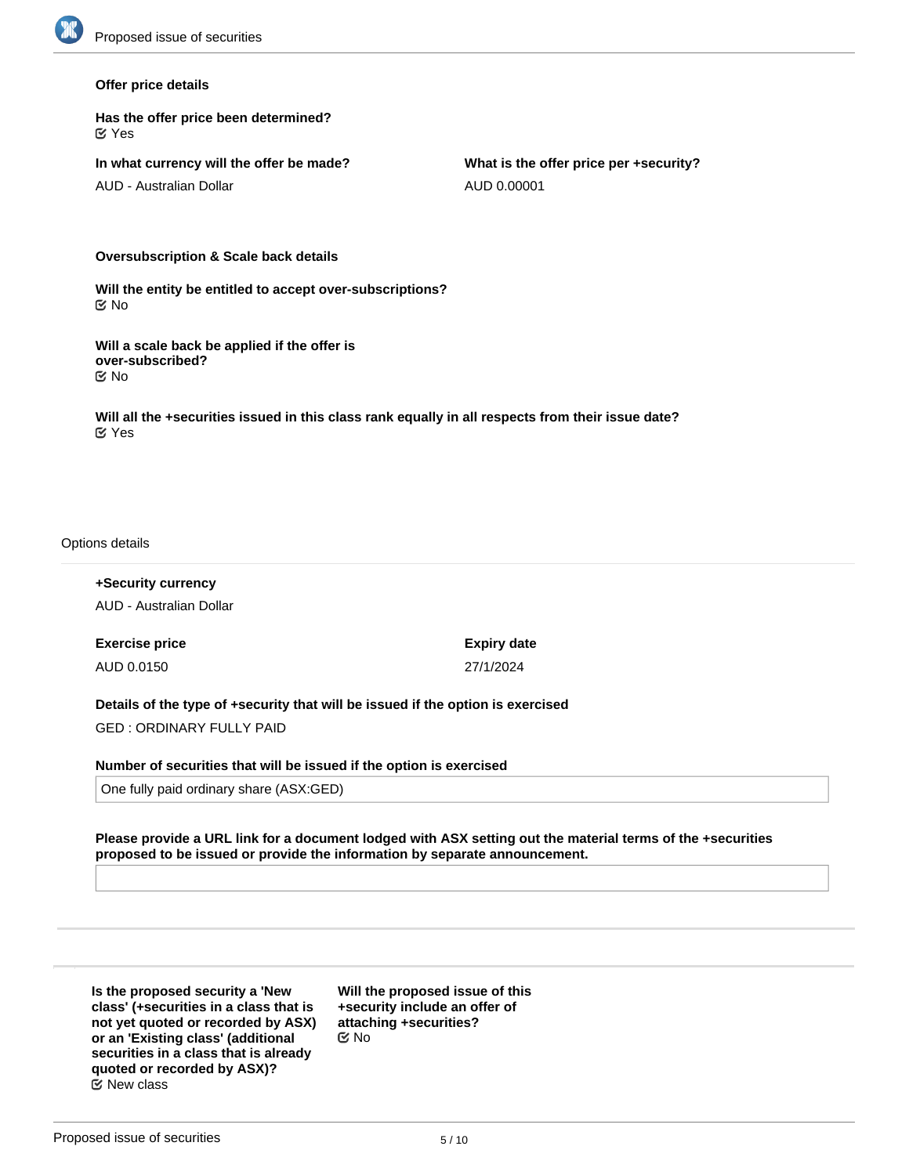#### **Offer price details**

**Has the offer price been determined?** Yes

**In what currency will the offer be made?**

AUD - Australian Dollar

**What is the offer price per +security?** AUD 0.00001

**Oversubscription & Scale back details**

**Will the entity be entitled to accept over-subscriptions?** No

**Will a scale back be applied if the offer is over-subscribed?** No

**Will all the +securities issued in this class rank equally in all respects from their issue date?** Yes

#### Options details

**+Security currency** AUD - Australian Dollar

**Exercise price** AUD 0.0150

**Expiry date** 27/1/2024

**Details of the type of +security that will be issued if the option is exercised** GED : ORDINARY FULLY PAID

**Number of securities that will be issued if the option is exercised**

One fully paid ordinary share (ASX:GED)

**Please provide a URL link for a document lodged with ASX setting out the material terms of the +securities proposed to be issued or provide the information by separate announcement.**

**Is the proposed security a 'New class' (+securities in a class that is not yet quoted or recorded by ASX) or an 'Existing class' (additional securities in a class that is already quoted or recorded by ASX)?** New class

**Will the proposed issue of this +security include an offer of attaching +securities?** No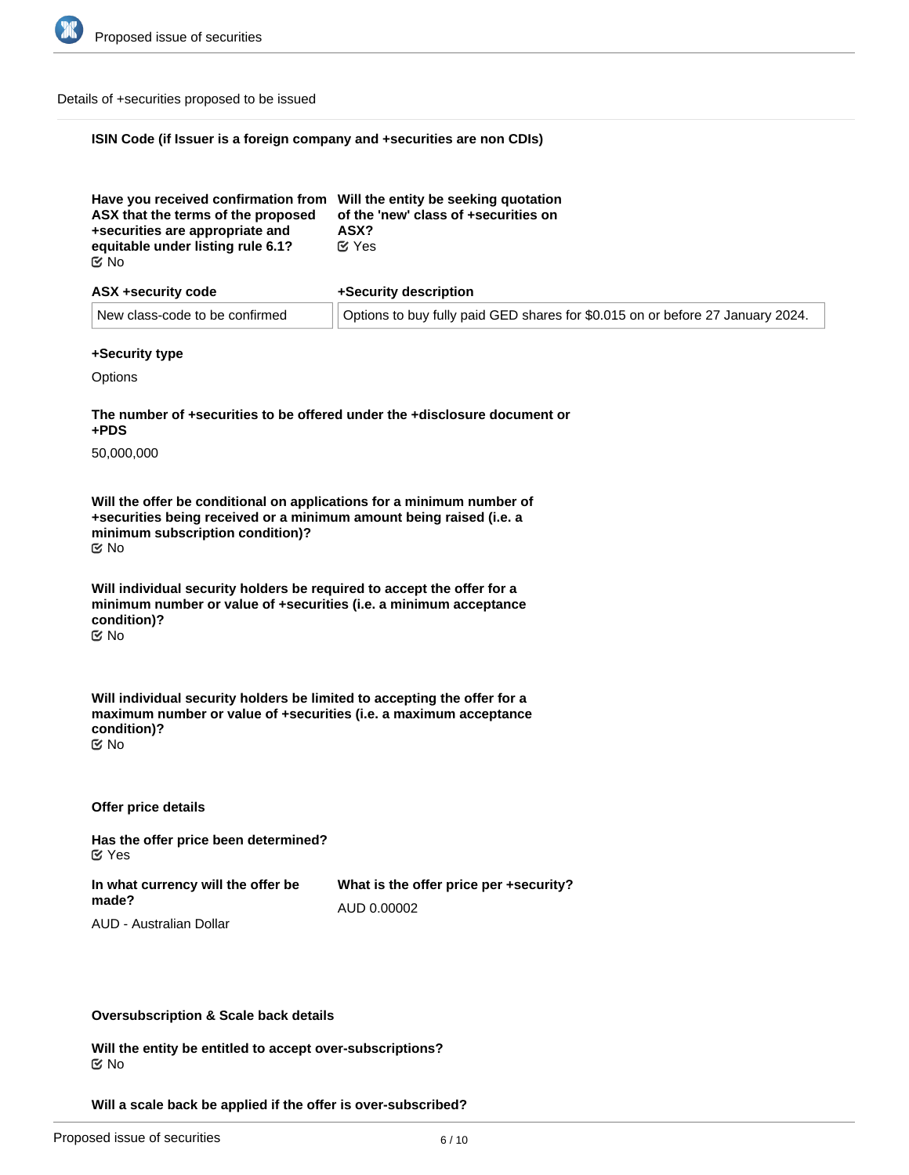

#### Details of +securities proposed to be issued

## **ISIN Code (if Issuer is a foreign company and +securities are non CDIs)**

| Have you received confirmation from Will the entity be seeking quotation<br>ASX that the terms of the proposed<br>+securities are appropriate and<br>equitable under listing rule 6.1?<br>় No | of the 'new' class of +securities on<br>ASX?<br>$\alpha$ Yes |
|------------------------------------------------------------------------------------------------------------------------------------------------------------------------------------------------|--------------------------------------------------------------|
| ASX +security code                                                                                                                                                                             | +Security description                                        |

| <b>AUA TUGGUILY GOUG</b> |                                | <b>TUGUATILY UGUUTIPLIUT</b>                                                   |  |
|--------------------------|--------------------------------|--------------------------------------------------------------------------------|--|
|                          | New class-code to be confirmed | Options to buy fully paid GED shares for \$0.015 on or before 27 January 2024. |  |

#### **+Security type**

**Options** 

**The number of +securities to be offered under the +disclosure document or +PDS**

50,000,000

**Will the offer be conditional on applications for a minimum number of +securities being received or a minimum amount being raised (i.e. a minimum subscription condition)?** No

**Will individual security holders be required to accept the offer for a minimum number or value of +securities (i.e. a minimum acceptance condition)?**

No

**Will individual security holders be limited to accepting the offer for a maximum number or value of +securities (i.e. a maximum acceptance condition)?** No

**Offer price details**

**Has the offer price been determined?** Yes

**In what currency will the offer be made?** AUD - Australian Dollar

**What is the offer price per +security?** AUD 0.00002

#### **Oversubscription & Scale back details**

**Will the entity be entitled to accept over-subscriptions?** No

**Will a scale back be applied if the offer is over-subscribed?**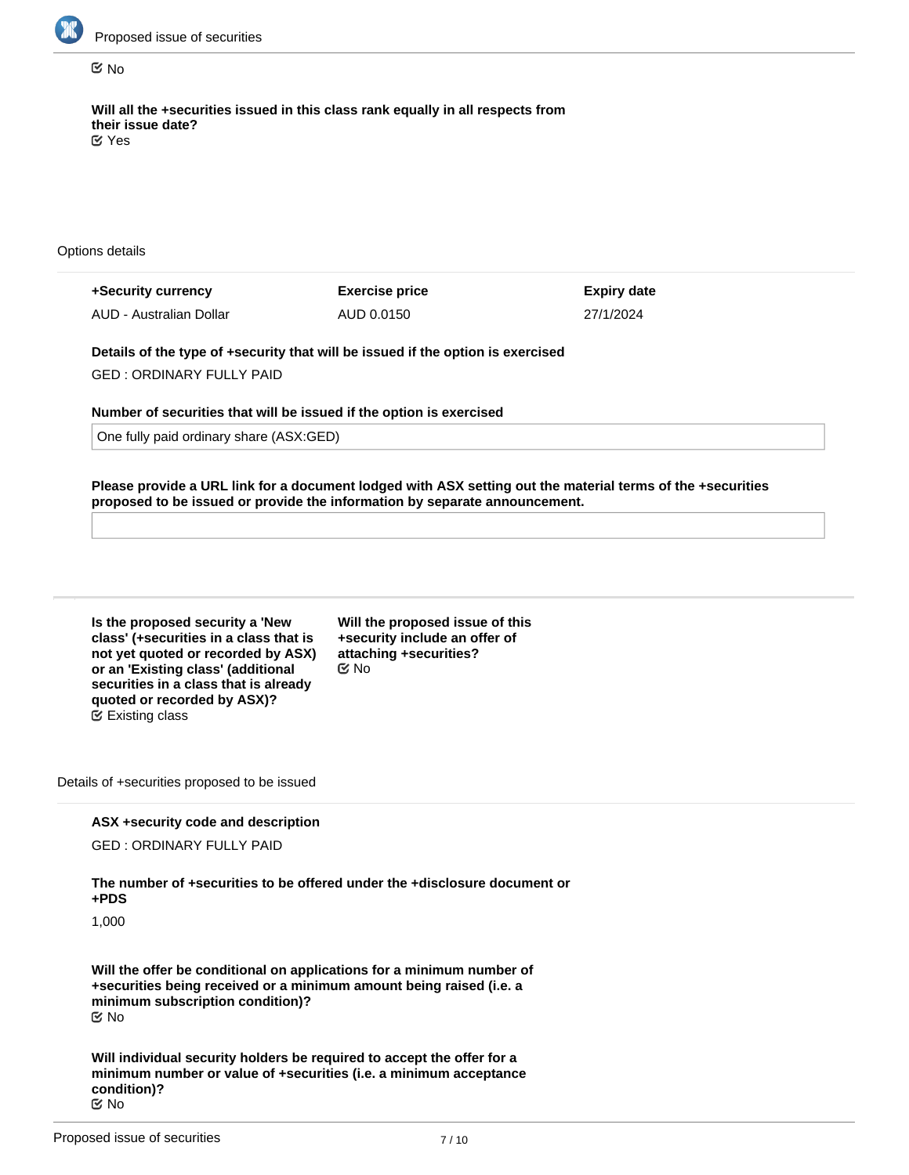

#### No

**Will all the +securities issued in this class rank equally in all respects from their issue date?** Yes

Options details

| +Security currency      | <b>Exercise price</b> | Expiry date |
|-------------------------|-----------------------|-------------|
| AUD - Australian Dollar | AUD 0.0150            | 27/1/2024   |

**Details of the type of +security that will be issued if the option is exercised** GED : ORDINARY FULLY PAID

**Number of securities that will be issued if the option is exercised**

One fully paid ordinary share (ASX:GED)

**Please provide a URL link for a document lodged with ASX setting out the material terms of the +securities proposed to be issued or provide the information by separate announcement.**

| Is the proposed security a 'New        |
|----------------------------------------|
| class' (+securities in a class that is |
| not yet quoted or recorded by ASX)     |
| or an 'Existing class' (additional     |
| securities in a class that is already  |
| quoted or recorded by ASX)?            |
| <b>■ Existing class</b>                |

**Will the proposed issue of this +security include an offer of attaching +securities?** No

Details of +securities proposed to be issued

#### **ASX +security code and description**

GED : ORDINARY FULLY PAID

**The number of +securities to be offered under the +disclosure document or +PDS**

1,000

**Will the offer be conditional on applications for a minimum number of +securities being received or a minimum amount being raised (i.e. a minimum subscription condition)?** No

**Will individual security holders be required to accept the offer for a minimum number or value of +securities (i.e. a minimum acceptance condition)?** No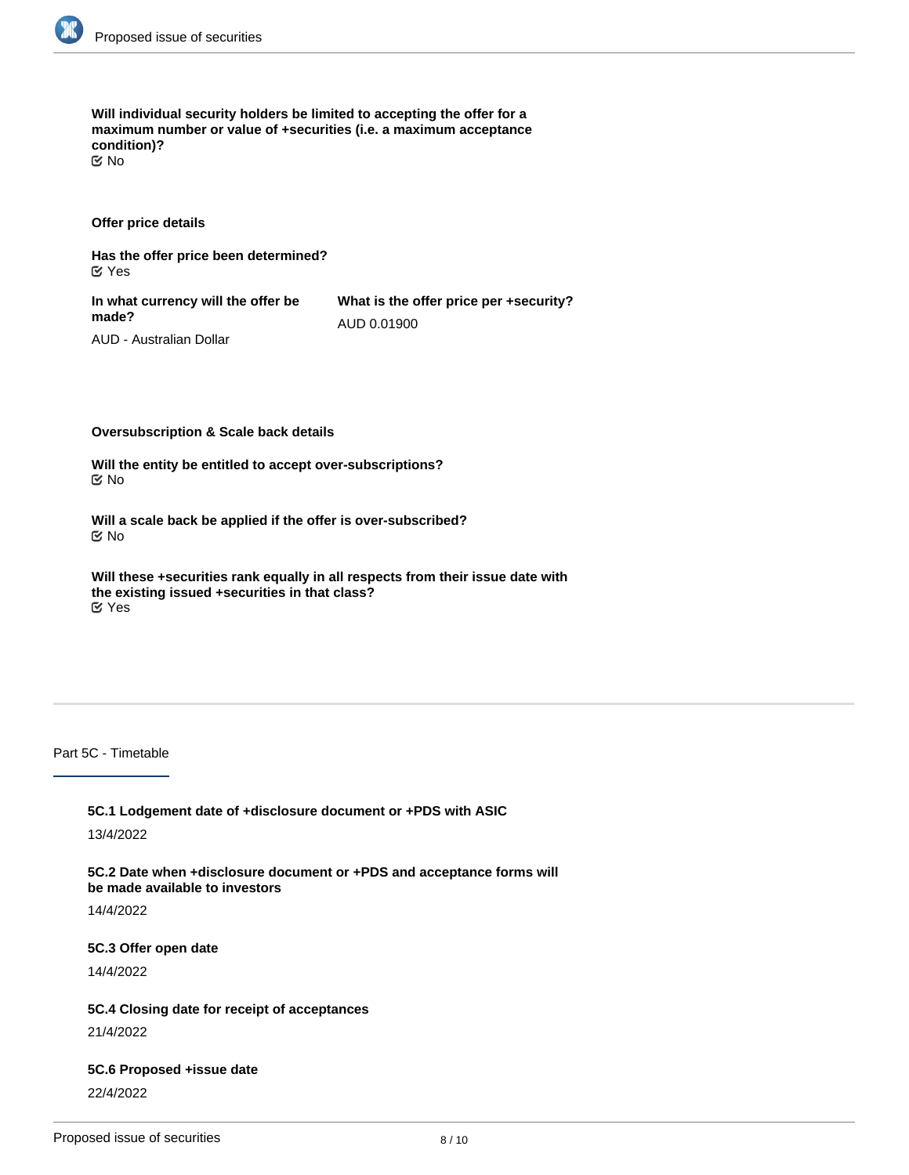

**Will individual security holders be limited to accepting the offer for a maximum number or value of +securities (i.e. a maximum acceptance condition)?** No

**Offer price details**

**Has the offer price been determined?** Yes

**In what currency will the offer be made?**

**What is the offer price per +security?** AUD 0.01900

AUD - Australian Dollar

**Oversubscription & Scale back details**

**Will the entity be entitled to accept over-subscriptions?** No

**Will a scale back be applied if the offer is over-subscribed?** No

**Will these +securities rank equally in all respects from their issue date with the existing issued +securities in that class?** Yes

Part 5C - Timetable

**5C.1 Lodgement date of +disclosure document or +PDS with ASIC**

13/4/2022

**5C.2 Date when +disclosure document or +PDS and acceptance forms will be made available to investors**

14/4/2022

**5C.3 Offer open date**

14/4/2022

**5C.4 Closing date for receipt of acceptances**

21/4/2022

**5C.6 Proposed +issue date**

22/4/2022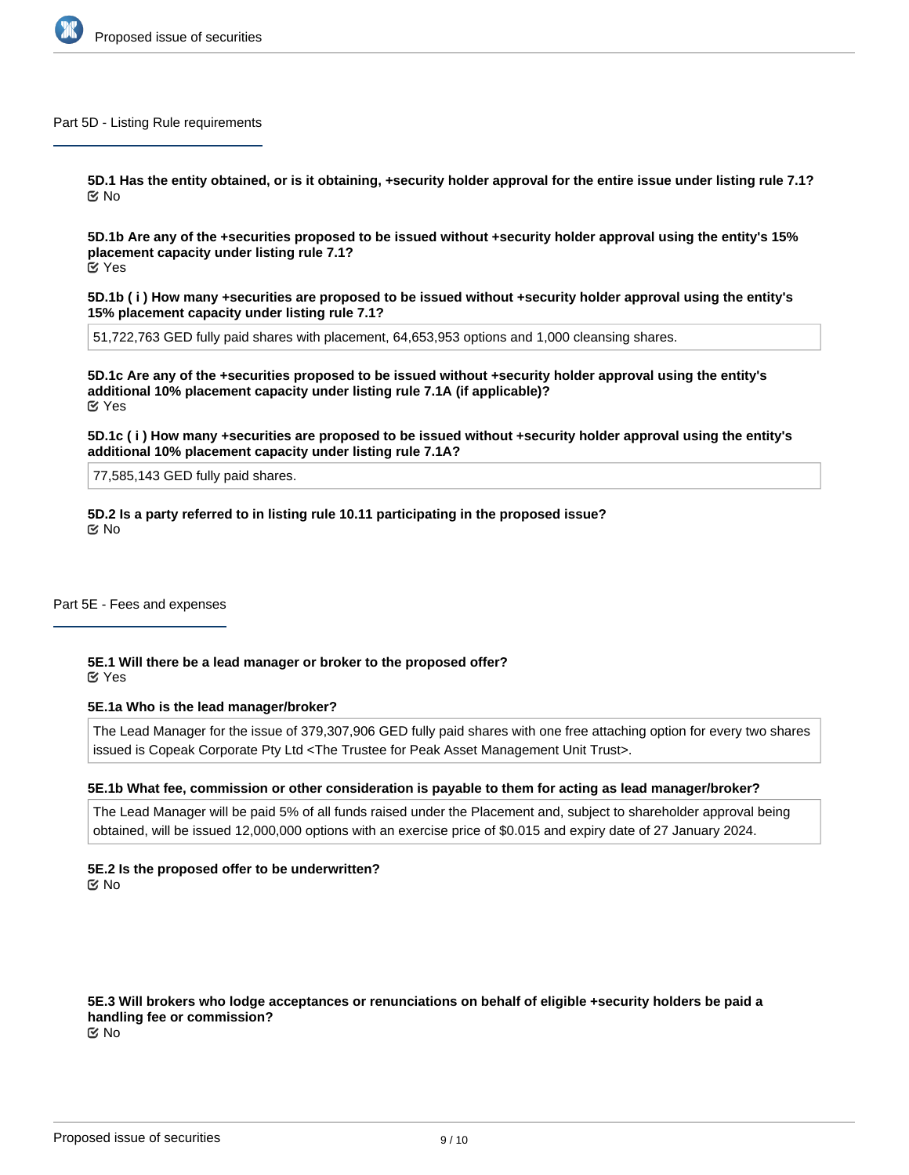

#### Part 5D - Listing Rule requirements

**5D.1 Has the entity obtained, or is it obtaining, +security holder approval for the entire issue under listing rule 7.1?** No

**5D.1b Are any of the +securities proposed to be issued without +security holder approval using the entity's 15% placement capacity under listing rule 7.1?** Yes

**5D.1b ( i ) How many +securities are proposed to be issued without +security holder approval using the entity's 15% placement capacity under listing rule 7.1?**

51,722,763 GED fully paid shares with placement, 64,653,953 options and 1,000 cleansing shares.

**5D.1c Are any of the +securities proposed to be issued without +security holder approval using the entity's additional 10% placement capacity under listing rule 7.1A (if applicable)?** Yes

**5D.1c ( i ) How many +securities are proposed to be issued without +security holder approval using the entity's additional 10% placement capacity under listing rule 7.1A?**

77,585,143 GED fully paid shares.

**5D.2 Is a party referred to in listing rule 10.11 participating in the proposed issue?** No

Part 5E - Fees and expenses

**5E.1 Will there be a lead manager or broker to the proposed offer?** Yes

## **5E.1a Who is the lead manager/broker?**

The Lead Manager for the issue of 379,307,906 GED fully paid shares with one free attaching option for every two shares issued is Copeak Corporate Pty Ltd <The Trustee for Peak Asset Management Unit Trust>.

# **5E.1b What fee, commission or other consideration is payable to them for acting as lead manager/broker?**

The Lead Manager will be paid 5% of all funds raised under the Placement and, subject to shareholder approval being obtained, will be issued 12,000,000 options with an exercise price of \$0.015 and expiry date of 27 January 2024.

**5E.2 Is the proposed offer to be underwritten? K** No

**5E.3 Will brokers who lodge acceptances or renunciations on behalf of eligible +security holders be paid a handling fee or commission?**

No